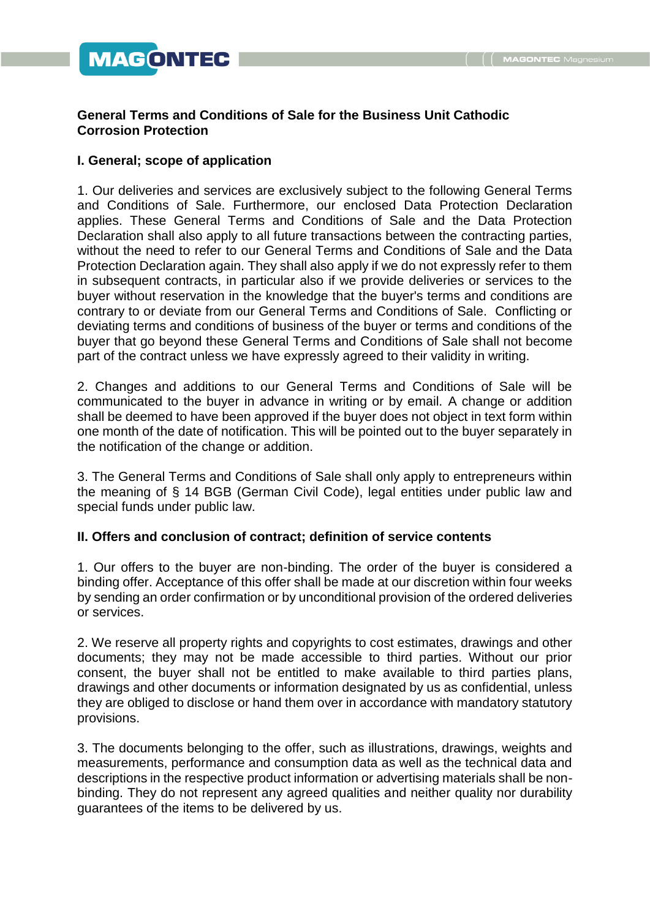# **MAGONTEG**

# **General Terms and Conditions of Sale for the Business Unit Cathodic Corrosion Protection**

## **I. General; scope of application**

1. Our deliveries and services are exclusively subject to the following General Terms and Conditions of Sale. Furthermore, our enclosed Data Protection Declaration applies. These General Terms and Conditions of Sale and the Data Protection Declaration shall also apply to all future transactions between the contracting parties, without the need to refer to our General Terms and Conditions of Sale and the Data Protection Declaration again. They shall also apply if we do not expressly refer to them in subsequent contracts, in particular also if we provide deliveries or services to the buyer without reservation in the knowledge that the buyer's terms and conditions are contrary to or deviate from our General Terms and Conditions of Sale. Conflicting or deviating terms and conditions of business of the buyer or terms and conditions of the buyer that go beyond these General Terms and Conditions of Sale shall not become part of the contract unless we have expressly agreed to their validity in writing.

2. Changes and additions to our General Terms and Conditions of Sale will be communicated to the buyer in advance in writing or by email. A change or addition shall be deemed to have been approved if the buyer does not object in text form within one month of the date of notification. This will be pointed out to the buyer separately in the notification of the change or addition.

3. The General Terms and Conditions of Sale shall only apply to entrepreneurs within the meaning of § 14 BGB (German Civil Code), legal entities under public law and special funds under public law.

# **II. Offers and conclusion of contract; definition of service contents**

1. Our offers to the buyer are non-binding. The order of the buyer is considered a binding offer. Acceptance of this offer shall be made at our discretion within four weeks by sending an order confirmation or by unconditional provision of the ordered deliveries or services.

2. We reserve all property rights and copyrights to cost estimates, drawings and other documents; they may not be made accessible to third parties. Without our prior consent, the buyer shall not be entitled to make available to third parties plans, drawings and other documents or information designated by us as confidential, unless they are obliged to disclose or hand them over in accordance with mandatory statutory provisions.

3. The documents belonging to the offer, such as illustrations, drawings, weights and measurements, performance and consumption data as well as the technical data and descriptions in the respective product information or advertising materials shall be nonbinding. They do not represent any agreed qualities and neither quality nor durability guarantees of the items to be delivered by us.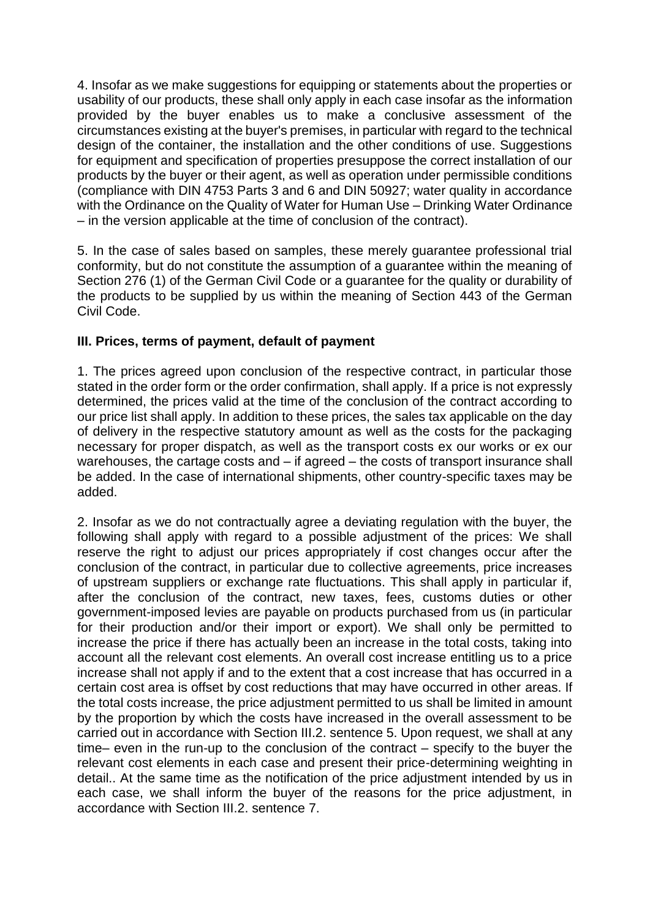4. Insofar as we make suggestions for equipping or statements about the properties or usability of our products, these shall only apply in each case insofar as the information provided by the buyer enables us to make a conclusive assessment of the circumstances existing at the buyer's premises, in particular with regard to the technical design of the container, the installation and the other conditions of use. Suggestions for equipment and specification of properties presuppose the correct installation of our products by the buyer or their agent, as well as operation under permissible conditions (compliance with DIN 4753 Parts 3 and 6 and DIN 50927; water quality in accordance with the Ordinance on the Quality of Water for Human Use – Drinking Water Ordinance – in the version applicable at the time of conclusion of the contract).

5. In the case of sales based on samples, these merely guarantee professional trial conformity, but do not constitute the assumption of a guarantee within the meaning of Section 276 (1) of the German Civil Code or a guarantee for the quality or durability of the products to be supplied by us within the meaning of Section 443 of the German Civil Code.

## **III. Prices, terms of payment, default of payment**

1. The prices agreed upon conclusion of the respective contract, in particular those stated in the order form or the order confirmation, shall apply. If a price is not expressly determined, the prices valid at the time of the conclusion of the contract according to our price list shall apply. In addition to these prices, the sales tax applicable on the day of delivery in the respective statutory amount as well as the costs for the packaging necessary for proper dispatch, as well as the transport costs ex our works or ex our warehouses, the cartage costs and – if agreed – the costs of transport insurance shall be added. In the case of international shipments, other country-specific taxes may be added.

2. Insofar as we do not contractually agree a deviating regulation with the buyer, the following shall apply with regard to a possible adjustment of the prices: We shall reserve the right to adjust our prices appropriately if cost changes occur after the conclusion of the contract, in particular due to collective agreements, price increases of upstream suppliers or exchange rate fluctuations. This shall apply in particular if, after the conclusion of the contract, new taxes, fees, customs duties or other government-imposed levies are payable on products purchased from us (in particular for their production and/or their import or export). We shall only be permitted to increase the price if there has actually been an increase in the total costs, taking into account all the relevant cost elements. An overall cost increase entitling us to a price increase shall not apply if and to the extent that a cost increase that has occurred in a certain cost area is offset by cost reductions that may have occurred in other areas. If the total costs increase, the price adjustment permitted to us shall be limited in amount by the proportion by which the costs have increased in the overall assessment to be carried out in accordance with Section III.2. sentence 5. Upon request, we shall at any time– even in the run-up to the conclusion of the contract – specify to the buyer the relevant cost elements in each case and present their price-determining weighting in detail.. At the same time as the notification of the price adjustment intended by us in each case, we shall inform the buyer of the reasons for the price adjustment, in accordance with Section III.2. sentence 7.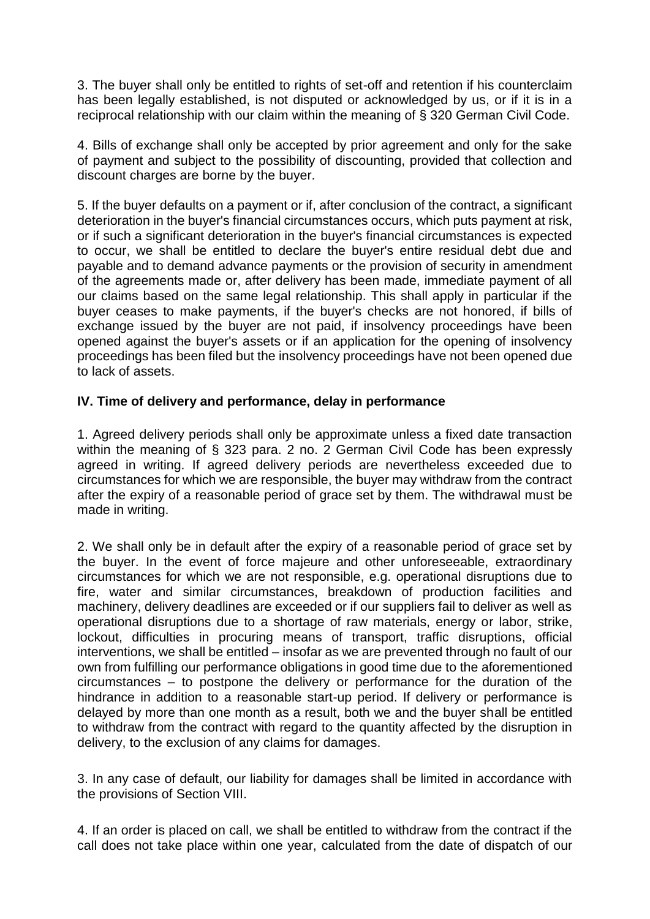3. The buyer shall only be entitled to rights of set-off and retention if his counterclaim has been legally established, is not disputed or acknowledged by us, or if it is in a reciprocal relationship with our claim within the meaning of § 320 German Civil Code.

4. Bills of exchange shall only be accepted by prior agreement and only for the sake of payment and subject to the possibility of discounting, provided that collection and discount charges are borne by the buyer.

5. If the buyer defaults on a payment or if, after conclusion of the contract, a significant deterioration in the buyer's financial circumstances occurs, which puts payment at risk, or if such a significant deterioration in the buyer's financial circumstances is expected to occur, we shall be entitled to declare the buyer's entire residual debt due and payable and to demand advance payments or the provision of security in amendment of the agreements made or, after delivery has been made, immediate payment of all our claims based on the same legal relationship. This shall apply in particular if the buyer ceases to make payments, if the buyer's checks are not honored, if bills of exchange issued by the buyer are not paid, if insolvency proceedings have been opened against the buyer's assets or if an application for the opening of insolvency proceedings has been filed but the insolvency proceedings have not been opened due to lack of assets.

## **IV. Time of delivery and performance, delay in performance**

1. Agreed delivery periods shall only be approximate unless a fixed date transaction within the meaning of § 323 para. 2 no. 2 German Civil Code has been expressly agreed in writing. If agreed delivery periods are nevertheless exceeded due to circumstances for which we are responsible, the buyer may withdraw from the contract after the expiry of a reasonable period of grace set by them. The withdrawal must be made in writing.

2. We shall only be in default after the expiry of a reasonable period of grace set by the buyer. In the event of force majeure and other unforeseeable, extraordinary circumstances for which we are not responsible, e.g. operational disruptions due to fire, water and similar circumstances, breakdown of production facilities and machinery, delivery deadlines are exceeded or if our suppliers fail to deliver as well as operational disruptions due to a shortage of raw materials, energy or labor, strike, lockout, difficulties in procuring means of transport, traffic disruptions, official interventions, we shall be entitled – insofar as we are prevented through no fault of our own from fulfilling our performance obligations in good time due to the aforementioned circumstances – to postpone the delivery or performance for the duration of the hindrance in addition to a reasonable start-up period. If delivery or performance is delayed by more than one month as a result, both we and the buyer shall be entitled to withdraw from the contract with regard to the quantity affected by the disruption in delivery, to the exclusion of any claims for damages.

3. In any case of default, our liability for damages shall be limited in accordance with the provisions of Section VIII.

4. If an order is placed on call, we shall be entitled to withdraw from the contract if the call does not take place within one year, calculated from the date of dispatch of our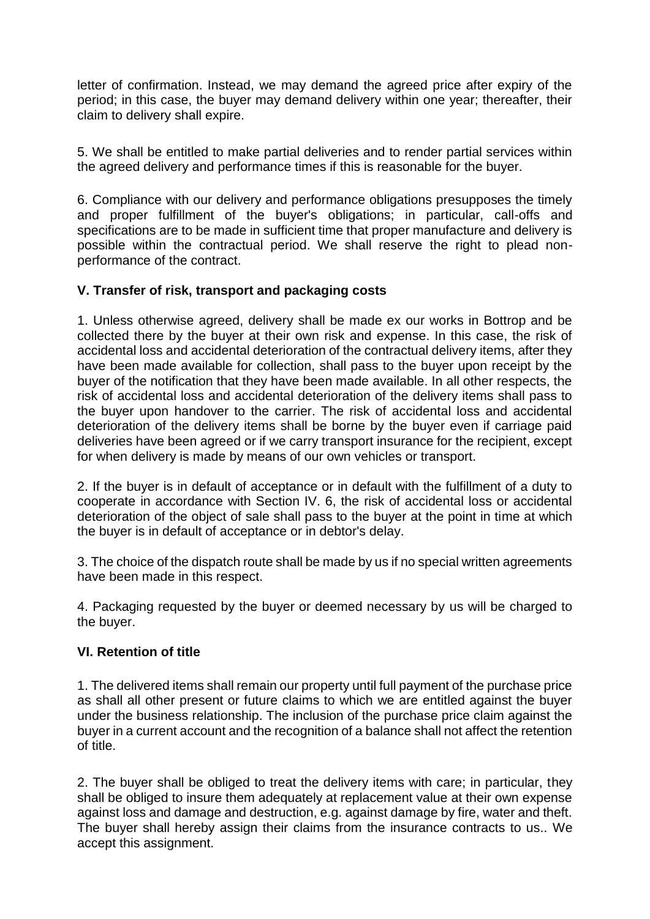letter of confirmation. Instead, we may demand the agreed price after expiry of the period; in this case, the buyer may demand delivery within one year; thereafter, their claim to delivery shall expire.

5. We shall be entitled to make partial deliveries and to render partial services within the agreed delivery and performance times if this is reasonable for the buyer.

6. Compliance with our delivery and performance obligations presupposes the timely and proper fulfillment of the buyer's obligations; in particular, call-offs and specifications are to be made in sufficient time that proper manufacture and delivery is possible within the contractual period. We shall reserve the right to plead nonperformance of the contract.

# **V. Transfer of risk, transport and packaging costs**

1. Unless otherwise agreed, delivery shall be made ex our works in Bottrop and be collected there by the buyer at their own risk and expense. In this case, the risk of accidental loss and accidental deterioration of the contractual delivery items, after they have been made available for collection, shall pass to the buyer upon receipt by the buyer of the notification that they have been made available. In all other respects, the risk of accidental loss and accidental deterioration of the delivery items shall pass to the buyer upon handover to the carrier. The risk of accidental loss and accidental deterioration of the delivery items shall be borne by the buyer even if carriage paid deliveries have been agreed or if we carry transport insurance for the recipient, except for when delivery is made by means of our own vehicles or transport.

2. If the buyer is in default of acceptance or in default with the fulfillment of a duty to cooperate in accordance with Section IV. 6, the risk of accidental loss or accidental deterioration of the object of sale shall pass to the buyer at the point in time at which the buyer is in default of acceptance or in debtor's delay.

3. The choice of the dispatch route shall be made by us if no special written agreements have been made in this respect.

4. Packaging requested by the buyer or deemed necessary by us will be charged to the buyer.

#### **VI. Retention of title**

1. The delivered items shall remain our property until full payment of the purchase price as shall all other present or future claims to which we are entitled against the buyer under the business relationship. The inclusion of the purchase price claim against the buyer in a current account and the recognition of a balance shall not affect the retention of title.

2. The buyer shall be obliged to treat the delivery items with care; in particular, they shall be obliged to insure them adequately at replacement value at their own expense against loss and damage and destruction, e.g. against damage by fire, water and theft. The buyer shall hereby assign their claims from the insurance contracts to us.. We accept this assignment.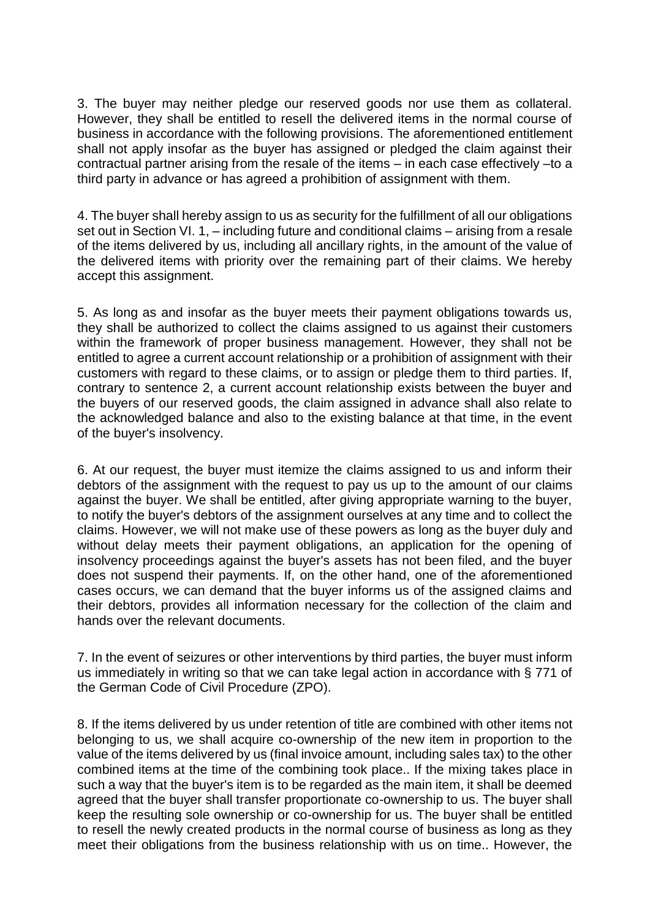3. The buyer may neither pledge our reserved goods nor use them as collateral. However, they shall be entitled to resell the delivered items in the normal course of business in accordance with the following provisions. The aforementioned entitlement shall not apply insofar as the buyer has assigned or pledged the claim against their contractual partner arising from the resale of the items – in each case effectively –to a third party in advance or has agreed a prohibition of assignment with them.

4. The buyer shall hereby assign to us as security for the fulfillment of all our obligations set out in Section VI. 1, – including future and conditional claims – arising from a resale of the items delivered by us, including all ancillary rights, in the amount of the value of the delivered items with priority over the remaining part of their claims. We hereby accept this assignment.

5. As long as and insofar as the buyer meets their payment obligations towards us, they shall be authorized to collect the claims assigned to us against their customers within the framework of proper business management. However, they shall not be entitled to agree a current account relationship or a prohibition of assignment with their customers with regard to these claims, or to assign or pledge them to third parties. If, contrary to sentence 2, a current account relationship exists between the buyer and the buyers of our reserved goods, the claim assigned in advance shall also relate to the acknowledged balance and also to the existing balance at that time, in the event of the buyer's insolvency.

6. At our request, the buyer must itemize the claims assigned to us and inform their debtors of the assignment with the request to pay us up to the amount of our claims against the buyer. We shall be entitled, after giving appropriate warning to the buyer, to notify the buyer's debtors of the assignment ourselves at any time and to collect the claims. However, we will not make use of these powers as long as the buyer duly and without delay meets their payment obligations, an application for the opening of insolvency proceedings against the buyer's assets has not been filed, and the buyer does not suspend their payments. If, on the other hand, one of the aforementioned cases occurs, we can demand that the buyer informs us of the assigned claims and their debtors, provides all information necessary for the collection of the claim and hands over the relevant documents.

7. In the event of seizures or other interventions by third parties, the buyer must inform us immediately in writing so that we can take legal action in accordance with § 771 of the German Code of Civil Procedure (ZPO).

8. If the items delivered by us under retention of title are combined with other items not belonging to us, we shall acquire co-ownership of the new item in proportion to the value of the items delivered by us (final invoice amount, including sales tax) to the other combined items at the time of the combining took place.. If the mixing takes place in such a way that the buyer's item is to be regarded as the main item, it shall be deemed agreed that the buyer shall transfer proportionate co-ownership to us. The buyer shall keep the resulting sole ownership or co-ownership for us. The buyer shall be entitled to resell the newly created products in the normal course of business as long as they meet their obligations from the business relationship with us on time.. However, the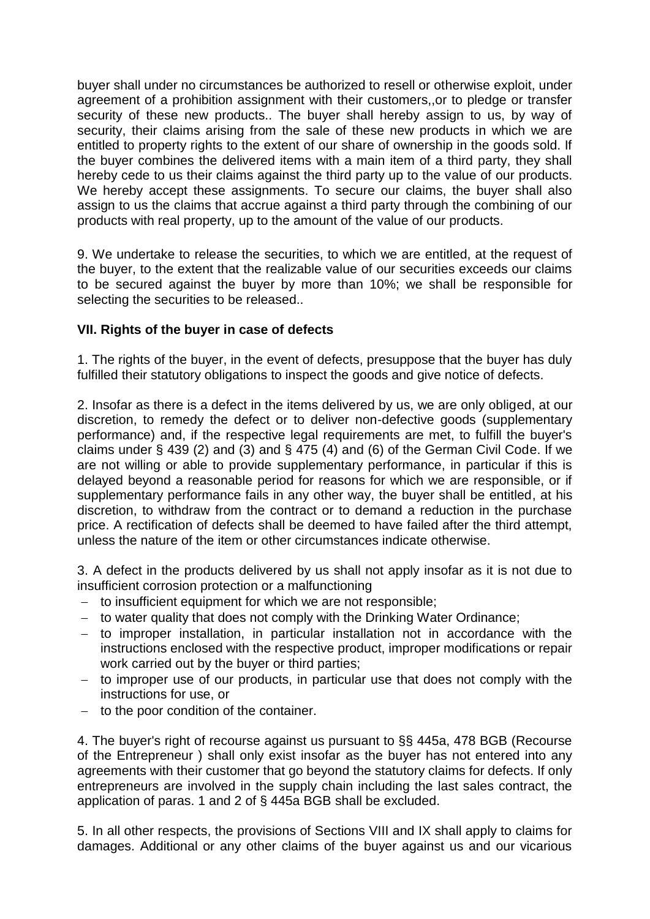buyer shall under no circumstances be authorized to resell or otherwise exploit, under agreement of a prohibition assignment with their customers,,or to pledge or transfer security of these new products.. The buyer shall hereby assign to us, by way of security, their claims arising from the sale of these new products in which we are entitled to property rights to the extent of our share of ownership in the goods sold. If the buyer combines the delivered items with a main item of a third party, they shall hereby cede to us their claims against the third party up to the value of our products. We hereby accept these assignments. To secure our claims, the buyer shall also assign to us the claims that accrue against a third party through the combining of our products with real property, up to the amount of the value of our products.

9. We undertake to release the securities, to which we are entitled, at the request of the buyer, to the extent that the realizable value of our securities exceeds our claims to be secured against the buyer by more than 10%; we shall be responsible for selecting the securities to be released..

## **VII. Rights of the buyer in case of defects**

1. The rights of the buyer, in the event of defects, presuppose that the buyer has duly fulfilled their statutory obligations to inspect the goods and give notice of defects.

2. Insofar as there is a defect in the items delivered by us, we are only obliged, at our discretion, to remedy the defect or to deliver non-defective goods (supplementary performance) and, if the respective legal requirements are met, to fulfill the buyer's claims under § 439 (2) and (3) and § 475 (4) and (6) of the German Civil Code. If we are not willing or able to provide supplementary performance, in particular if this is delayed beyond a reasonable period for reasons for which we are responsible, or if supplementary performance fails in any other way, the buyer shall be entitled, at his discretion, to withdraw from the contract or to demand a reduction in the purchase price. A rectification of defects shall be deemed to have failed after the third attempt, unless the nature of the item or other circumstances indicate otherwise.

3. A defect in the products delivered by us shall not apply insofar as it is not due to insufficient corrosion protection or a malfunctioning

- − to insufficient equipment for which we are not responsible;
- − to water quality that does not comply with the Drinking Water Ordinance;
- − to improper installation, in particular installation not in accordance with the instructions enclosed with the respective product, improper modifications or repair work carried out by the buyer or third parties;
- − to improper use of our products, in particular use that does not comply with the instructions for use, or
- − to the poor condition of the container.

4. The buyer's right of recourse against us pursuant to §§ 445a, 478 BGB (Recourse of the Entrepreneur ) shall only exist insofar as the buyer has not entered into any agreements with their customer that go beyond the statutory claims for defects. If only entrepreneurs are involved in the supply chain including the last sales contract, the application of paras. 1 and 2 of § 445a BGB shall be excluded.

5. In all other respects, the provisions of Sections VIII and IX shall apply to claims for damages. Additional or any other claims of the buyer against us and our vicarious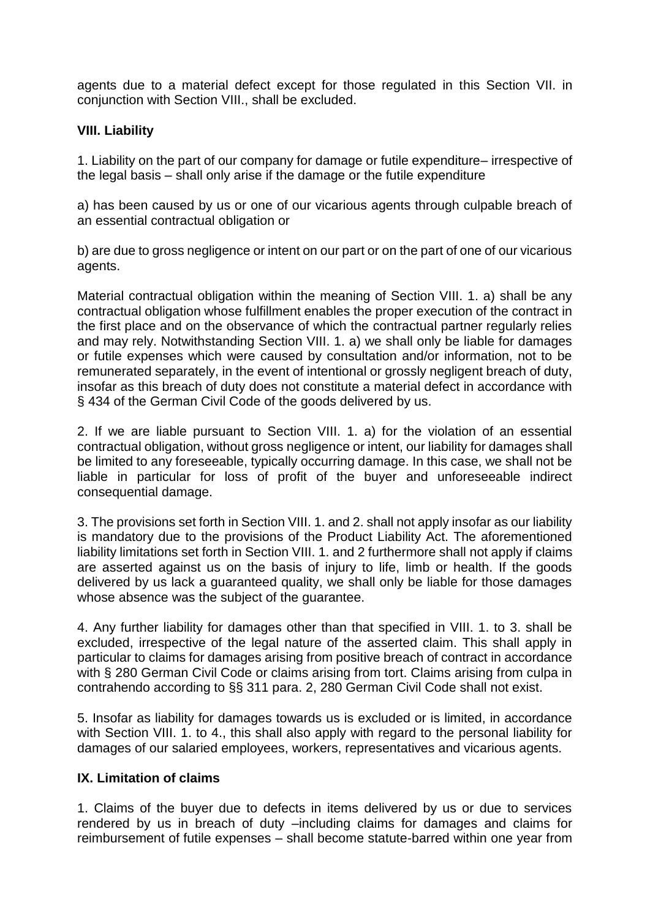agents due to a material defect except for those regulated in this Section VII. in conjunction with Section VIII., shall be excluded.

## **VIII. Liability**

1. Liability on the part of our company for damage or futile expenditure– irrespective of the legal basis – shall only arise if the damage or the futile expenditure

a) has been caused by us or one of our vicarious agents through culpable breach of an essential contractual obligation or

b) are due to gross negligence or intent on our part or on the part of one of our vicarious agents.

Material contractual obligation within the meaning of Section VIII. 1. a) shall be any contractual obligation whose fulfillment enables the proper execution of the contract in the first place and on the observance of which the contractual partner regularly relies and may rely. Notwithstanding Section VIII. 1. a) we shall only be liable for damages or futile expenses which were caused by consultation and/or information, not to be remunerated separately, in the event of intentional or grossly negligent breach of duty, insofar as this breach of duty does not constitute a material defect in accordance with § 434 of the German Civil Code of the goods delivered by us.

2. If we are liable pursuant to Section VIII. 1. a) for the violation of an essential contractual obligation, without gross negligence or intent, our liability for damages shall be limited to any foreseeable, typically occurring damage. In this case, we shall not be liable in particular for loss of profit of the buyer and unforeseeable indirect consequential damage.

3. The provisions set forth in Section VIII. 1. and 2. shall not apply insofar as our liability is mandatory due to the provisions of the Product Liability Act. The aforementioned liability limitations set forth in Section VIII. 1. and 2 furthermore shall not apply if claims are asserted against us on the basis of injury to life, limb or health. If the goods delivered by us lack a guaranteed quality, we shall only be liable for those damages whose absence was the subject of the guarantee.

4. Any further liability for damages other than that specified in VIII. 1. to 3. shall be excluded, irrespective of the legal nature of the asserted claim. This shall apply in particular to claims for damages arising from positive breach of contract in accordance with § 280 German Civil Code or claims arising from tort. Claims arising from culpa in contrahendo according to §§ 311 para. 2, 280 German Civil Code shall not exist.

5. Insofar as liability for damages towards us is excluded or is limited, in accordance with Section VIII. 1. to 4., this shall also apply with regard to the personal liability for damages of our salaried employees, workers, representatives and vicarious agents.

#### **IX. Limitation of claims**

1. Claims of the buyer due to defects in items delivered by us or due to services rendered by us in breach of duty –including claims for damages and claims for reimbursement of futile expenses – shall become statute-barred within one year from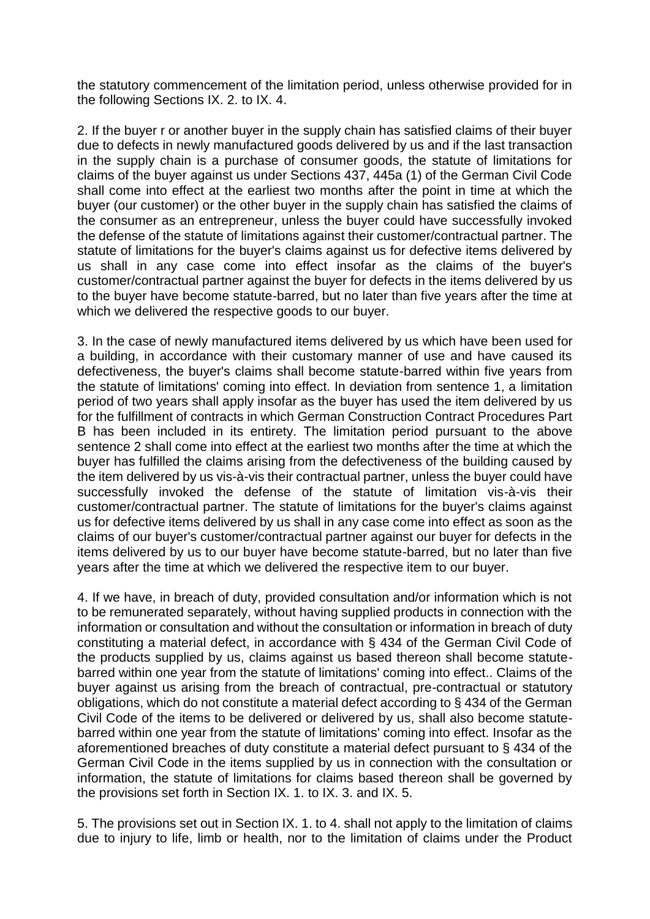the statutory commencement of the limitation period, unless otherwise provided for in the following Sections IX. 2. to IX. 4.

2. If the buyer r or another buyer in the supply chain has satisfied claims of their buyer due to defects in newly manufactured goods delivered by us and if the last transaction in the supply chain is a purchase of consumer goods, the statute of limitations for claims of the buyer against us under Sections 437, 445a (1) of the German Civil Code shall come into effect at the earliest two months after the point in time at which the buyer (our customer) or the other buyer in the supply chain has satisfied the claims of the consumer as an entrepreneur, unless the buyer could have successfully invoked the defense of the statute of limitations against their customer/contractual partner. The statute of limitations for the buyer's claims against us for defective items delivered by us shall in any case come into effect insofar as the claims of the buyer's customer/contractual partner against the buyer for defects in the items delivered by us to the buyer have become statute-barred, but no later than five years after the time at which we delivered the respective goods to our buyer.

3. In the case of newly manufactured items delivered by us which have been used for a building, in accordance with their customary manner of use and have caused its defectiveness, the buyer's claims shall become statute-barred within five years from the statute of limitations' coming into effect. In deviation from sentence 1, a limitation period of two years shall apply insofar as the buyer has used the item delivered by us for the fulfillment of contracts in which German Construction Contract Procedures Part B has been included in its entirety. The limitation period pursuant to the above sentence 2 shall come into effect at the earliest two months after the time at which the buyer has fulfilled the claims arising from the defectiveness of the building caused by the item delivered by us vis-à-vis their contractual partner, unless the buyer could have successfully invoked the defense of the statute of limitation vis-à-vis their customer/contractual partner. The statute of limitations for the buyer's claims against us for defective items delivered by us shall in any case come into effect as soon as the claims of our buyer's customer/contractual partner against our buyer for defects in the items delivered by us to our buyer have become statute-barred, but no later than five years after the time at which we delivered the respective item to our buyer.

4. If we have, in breach of duty, provided consultation and/or information which is not to be remunerated separately, without having supplied products in connection with the information or consultation and without the consultation or information in breach of duty constituting a material defect, in accordance with § 434 of the German Civil Code of the products supplied by us, claims against us based thereon shall become statutebarred within one year from the statute of limitations' coming into effect.. Claims of the buyer against us arising from the breach of contractual, pre-contractual or statutory obligations, which do not constitute a material defect according to § 434 of the German Civil Code of the items to be delivered or delivered by us, shall also become statutebarred within one year from the statute of limitations' coming into effect. Insofar as the aforementioned breaches of duty constitute a material defect pursuant to § 434 of the German Civil Code in the items supplied by us in connection with the consultation or information, the statute of limitations for claims based thereon shall be governed by the provisions set forth in Section IX. 1. to IX. 3. and IX. 5.

5. The provisions set out in Section IX. 1. to 4. shall not apply to the limitation of claims due to injury to life, limb or health, nor to the limitation of claims under the Product